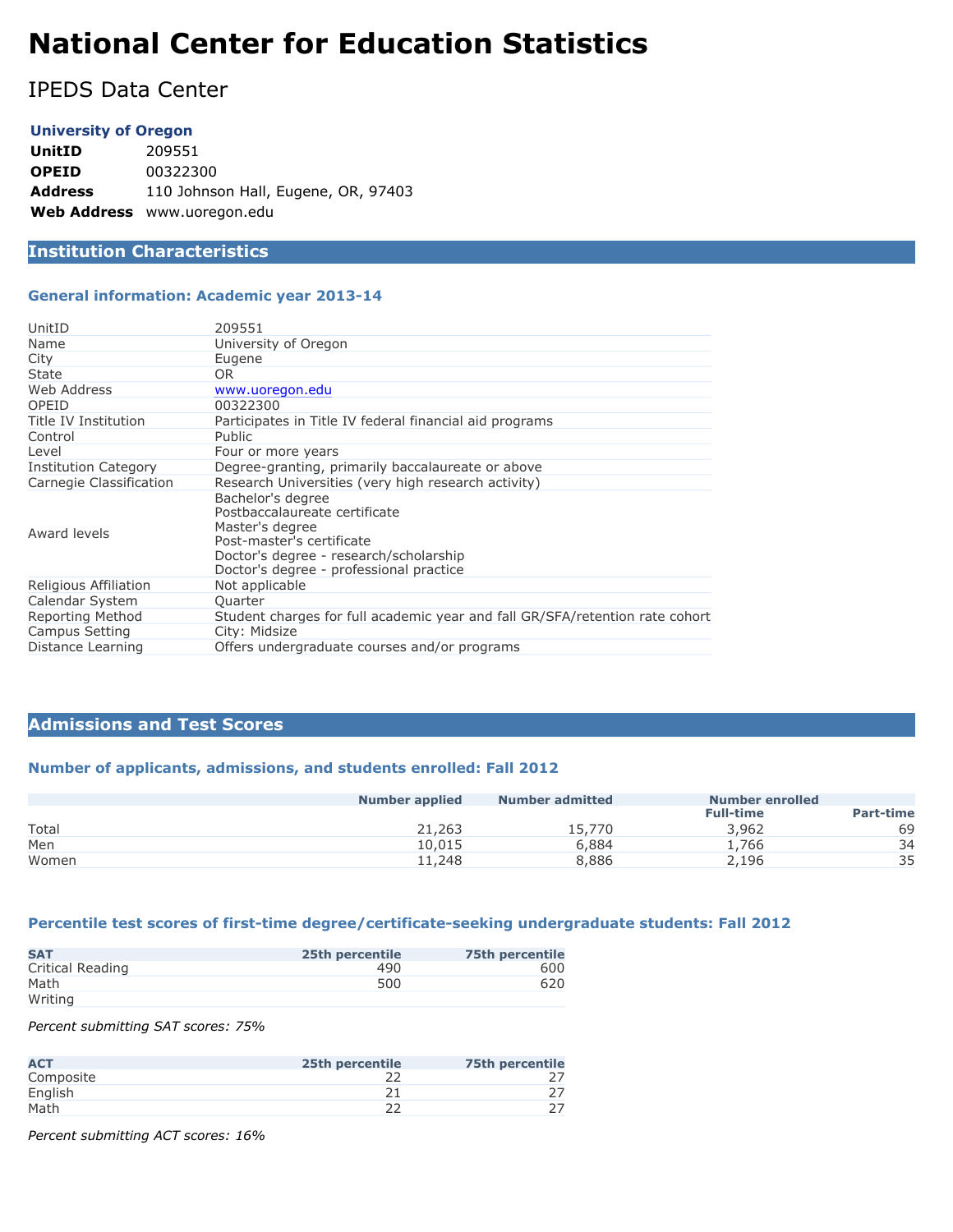# **National Center for Education Statistics**

IPEDS Data Center

#### **University of Oregon**

**UnitID** 209551 **OPEID** 00322300 **Address** 110 Johnson Hall, Eugene, OR, 97403 **Web Address** www.uoregon.edu

# **Institution Characteristics**

#### **General information: Academic year 2013-14**

| UnitID                      | 209551                                                                                                                                                                                  |
|-----------------------------|-----------------------------------------------------------------------------------------------------------------------------------------------------------------------------------------|
| Name                        | University of Oregon                                                                                                                                                                    |
| City                        | Eugene                                                                                                                                                                                  |
| State                       | OR.                                                                                                                                                                                     |
| Web Address                 | www.uoregon.edu                                                                                                                                                                         |
| OPEID                       | 00322300                                                                                                                                                                                |
| Title IV Institution        | Participates in Title IV federal financial aid programs                                                                                                                                 |
| Control                     | <b>Public</b>                                                                                                                                                                           |
| Level                       | Four or more years                                                                                                                                                                      |
| <b>Institution Category</b> | Degree-granting, primarily baccalaureate or above                                                                                                                                       |
| Carnegie Classification     | Research Universities (very high research activity)                                                                                                                                     |
| Award levels                | Bachelor's degree<br>Postbaccalaureate certificate<br>Master's degree<br>Post-master's certificate<br>Doctor's degree - research/scholarship<br>Doctor's degree - professional practice |
| Religious Affiliation       | Not applicable                                                                                                                                                                          |
| Calendar System             | Ouarter                                                                                                                                                                                 |
| Reporting Method            | Student charges for full academic year and fall GR/SFA/retention rate cohort                                                                                                            |
| Campus Setting              | City: Midsize                                                                                                                                                                           |
| Distance Learning           | Offers undergraduate courses and/or programs                                                                                                                                            |

#### **Admissions and Test Scores**

## **Number of applicants, admissions, and students enrolled: Fall 2012**

|       | <b>Number applied</b> | <b>Number admitted</b> | <b>Number enrolled</b> |                  |
|-------|-----------------------|------------------------|------------------------|------------------|
|       |                       |                        | <b>Full-time</b>       | <b>Part-time</b> |
| Total | 21,263                | 15,770                 | 3,962                  | 69               |
| Men   | 10,015                | 6,884                  | 1.766                  | 34               |
| Women | 11,248                | 8,886                  | 2,196                  | 35               |

## **Percentile test scores of first-time degree/certificate-seeking undergraduate students: Fall 2012**

| <b>SAT</b>       | 25th percentile | 75th percentile |
|------------------|-----------------|-----------------|
| Critical Reading | 490             | 600             |
| Math             | 500             | 620             |
| Writing          |                 |                 |

*Percent submitting SAT scores: 75%*

| <b>ACT</b> | 25th percentile | <b>75th percentile</b> |
|------------|-----------------|------------------------|
| Composite  |                 |                        |
| English    |                 |                        |
| Math       |                 |                        |

*Percent submitting ACT scores: 16%*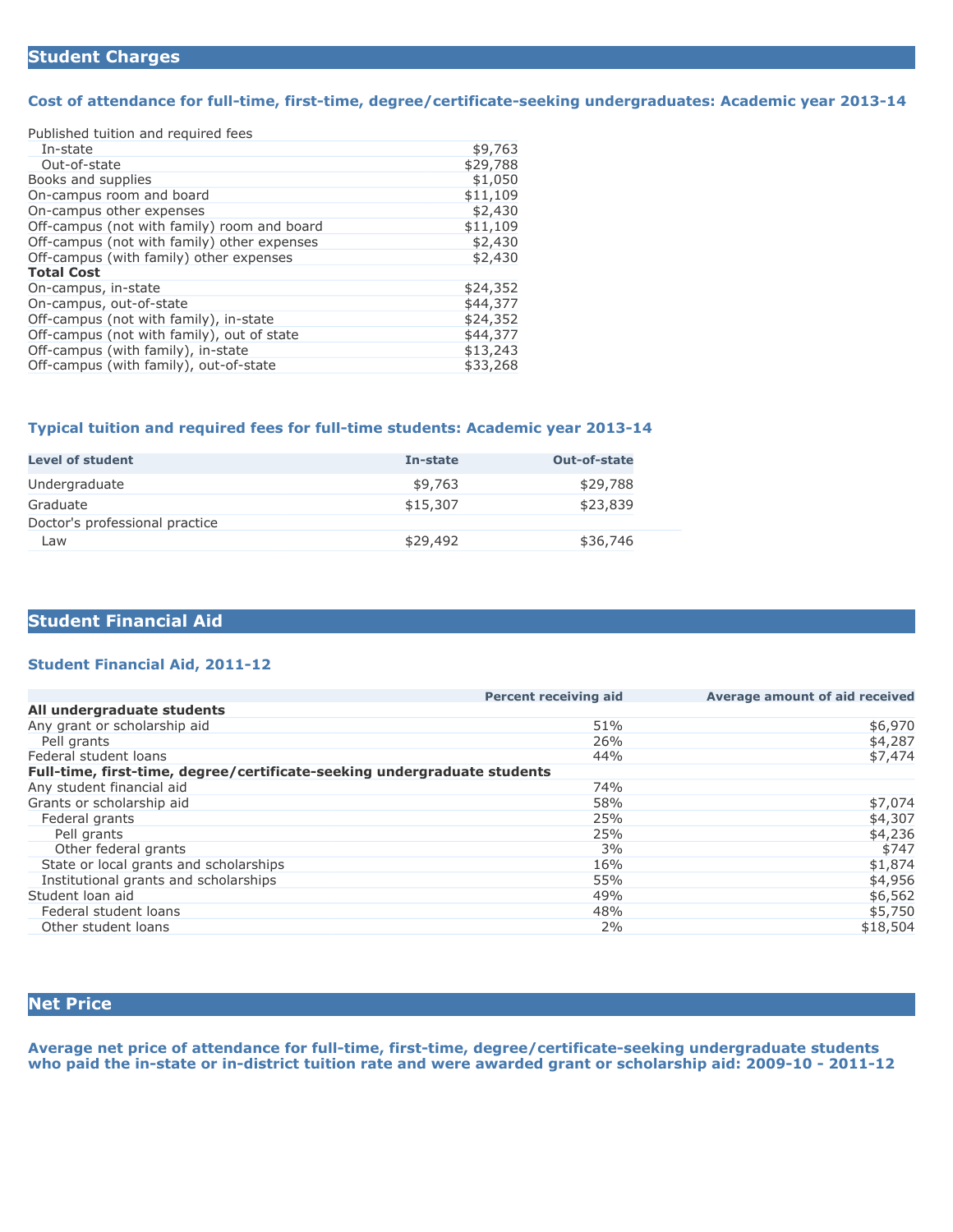#### **Cost of attendance for full-time, first-time, degree/certificate-seeking undergraduates: Academic year 2013-14**

Published tuition and required fees

| In-state                                    | \$9,763  |
|---------------------------------------------|----------|
| Out-of-state                                | \$29,788 |
| Books and supplies                          | \$1,050  |
| On-campus room and board                    | \$11,109 |
| On-campus other expenses                    | \$2,430  |
| Off-campus (not with family) room and board | \$11,109 |
| Off-campus (not with family) other expenses | \$2,430  |
| Off-campus (with family) other expenses     | \$2,430  |
| <b>Total Cost</b>                           |          |
| On-campus, in-state                         | \$24,352 |
| On-campus, out-of-state                     | \$44,377 |
| Off-campus (not with family), in-state      | \$24,352 |
| Off-campus (not with family), out of state  | \$44,377 |
| Off-campus (with family), in-state          | \$13,243 |
| Off-campus (with family), out-of-state      | \$33,268 |

#### **Typical tuition and required fees for full-time students: Academic year 2013-14**

| <b>Level of student</b>        | In-state | <b>Out-of-state</b> |
|--------------------------------|----------|---------------------|
| Undergraduate                  | \$9,763  | \$29,788            |
| Graduate                       | \$15,307 | \$23,839            |
| Doctor's professional practice |          |                     |
| Law                            | \$29,492 | \$36,746            |

## **Student Financial Aid**

#### **Student Financial Aid, 2011-12**

| <b>Percent receiving aid</b>                                             | Average amount of aid received |
|--------------------------------------------------------------------------|--------------------------------|
|                                                                          |                                |
| 51%                                                                      | \$6,970                        |
| 26%                                                                      | \$4,287                        |
| 44%                                                                      | \$7,474                        |
| Full-time, first-time, degree/certificate-seeking undergraduate students |                                |
| 74%                                                                      |                                |
| 58%                                                                      | \$7,074                        |
| 25%                                                                      | \$4,307                        |
| 25%                                                                      | \$4,236                        |
| 3%                                                                       | \$747                          |
| 16%                                                                      | \$1,874                        |
| 55%                                                                      | \$4,956                        |
| 49%                                                                      | \$6,562                        |
| 48%                                                                      | \$5,750                        |
| 2%                                                                       | \$18,504                       |
|                                                                          |                                |

# **Net Price**

**Average net price of attendance for full-time, first-time, degree/certificate-seeking undergraduate students who paid the in-state or in-district tuition rate and were awarded grant or scholarship aid: 2009-10 - 2011-12**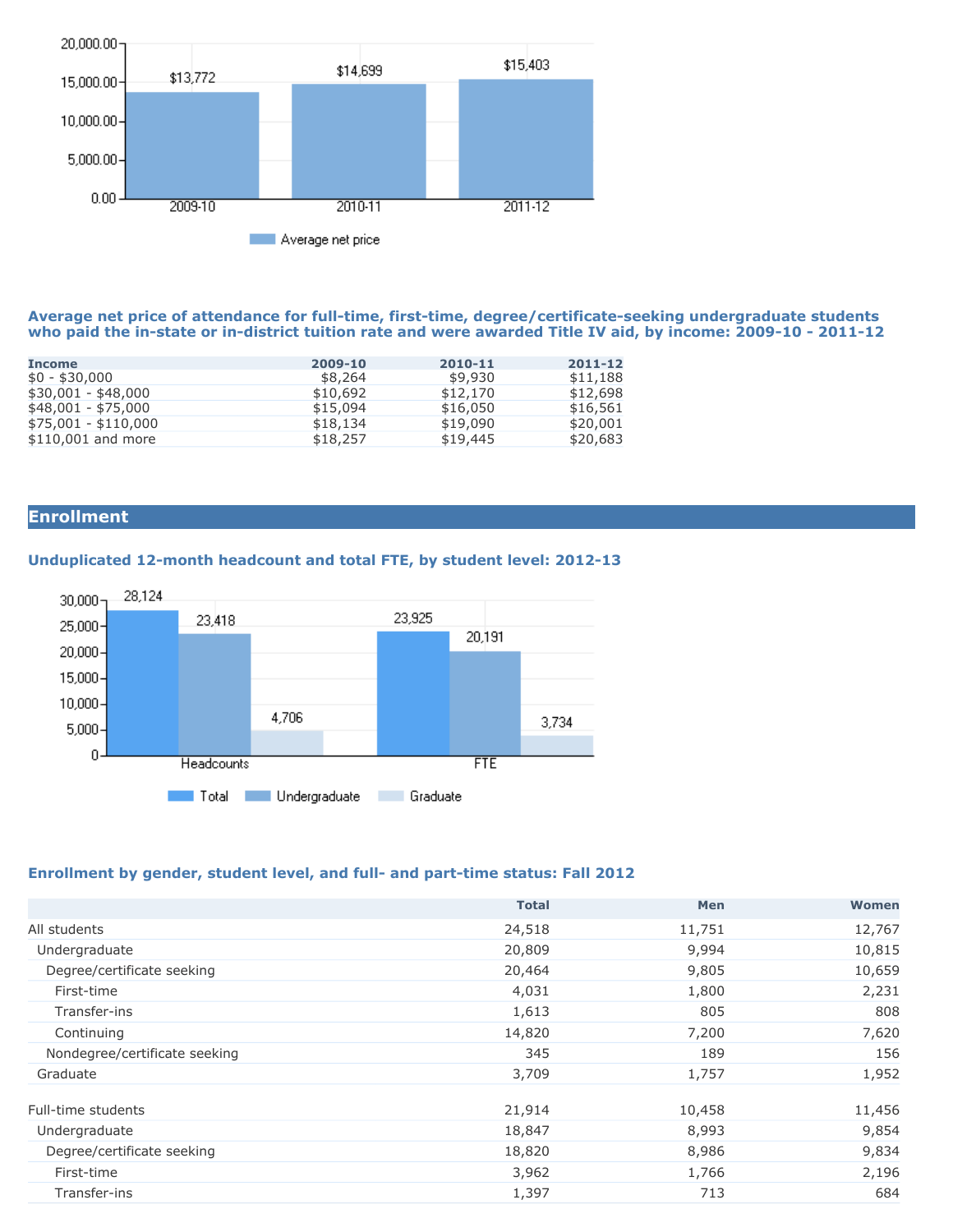

#### **Average net price of attendance for full-time, first-time, degree/certificate-seeking undergraduate students who paid the in-state or in-district tuition rate and were awarded Title IV aid, by income: 2009-10 - 2011-12**

| 2009-10  | 2010-11  | 2011-12  |
|----------|----------|----------|
| \$8,264  | \$9,930  | \$11,188 |
| \$10,692 | \$12,170 | \$12,698 |
| \$15,094 | \$16,050 | \$16,561 |
| \$18,134 | \$19,090 | \$20,001 |
| \$18,257 | \$19,445 | \$20,683 |
|          |          |          |

# **Enrollment**

## **Unduplicated 12-month headcount and total FTE, by student level: 2012-13**



#### **Enrollment by gender, student level, and full- and part-time status: Fall 2012**

|                               | <b>Total</b> | Men    | Women  |
|-------------------------------|--------------|--------|--------|
| All students                  | 24,518       | 11,751 | 12,767 |
| Undergraduate                 | 20,809       | 9,994  | 10,815 |
| Degree/certificate seeking    | 20,464       | 9,805  | 10,659 |
| First-time                    | 4,031        | 1,800  | 2,231  |
| Transfer-ins                  | 1,613        | 805    | 808    |
| Continuing                    | 14,820       | 7,200  | 7,620  |
| Nondegree/certificate seeking | 345          | 189    | 156    |
| Graduate                      | 3,709        | 1,757  | 1,952  |
| Full-time students            | 21,914       | 10,458 | 11,456 |
| Undergraduate                 | 18,847       | 8,993  | 9,854  |
| Degree/certificate seeking    | 18,820       | 8,986  | 9,834  |
| First-time                    | 3,962        | 1,766  | 2,196  |
| Transfer-ins                  | 1,397        | 713    | 684    |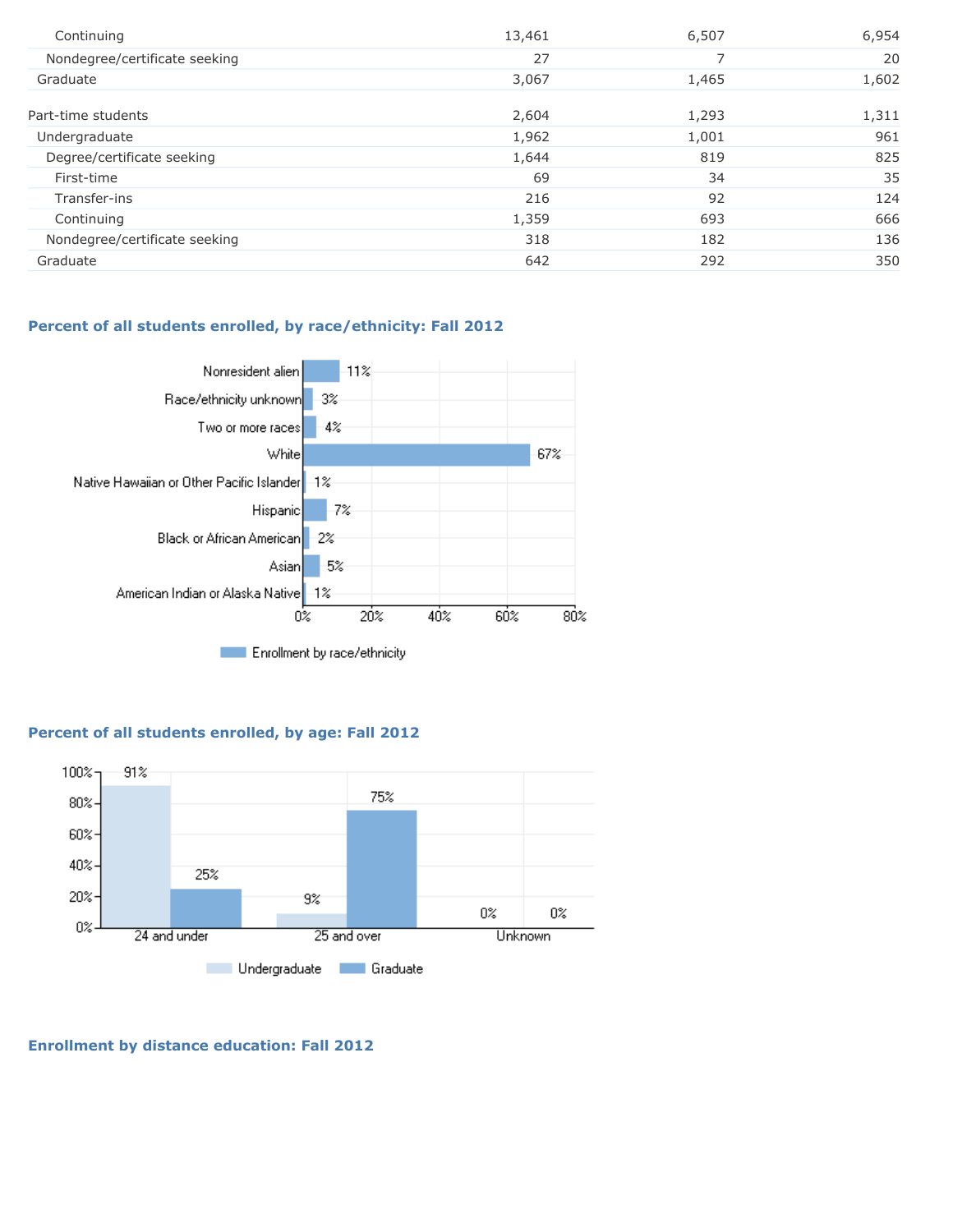| Continuing                    | 13,461 | 6,507 | 6,954 |
|-------------------------------|--------|-------|-------|
| Nondegree/certificate seeking | 27     |       | 20    |
| Graduate                      | 3,067  | 1,465 | 1,602 |
| Part-time students            | 2,604  | 1,293 | 1,311 |
| Undergraduate                 | 1,962  | 1,001 | 961   |
| Degree/certificate seeking    | 1,644  | 819   | 825   |
| First-time                    | 69     | 34    | 35    |
| Transfer-ins                  | 216    | 92    | 124   |
| Continuing                    | 1,359  | 693   | 666   |
| Nondegree/certificate seeking | 318    | 182   | 136   |
| Graduate                      | 642    | 292   | 350   |

## **Percent of all students enrolled, by race/ethnicity: Fall 2012**



## **Percent of all students enrolled, by age: Fall 2012**



**Enrollment by distance education: Fall 2012**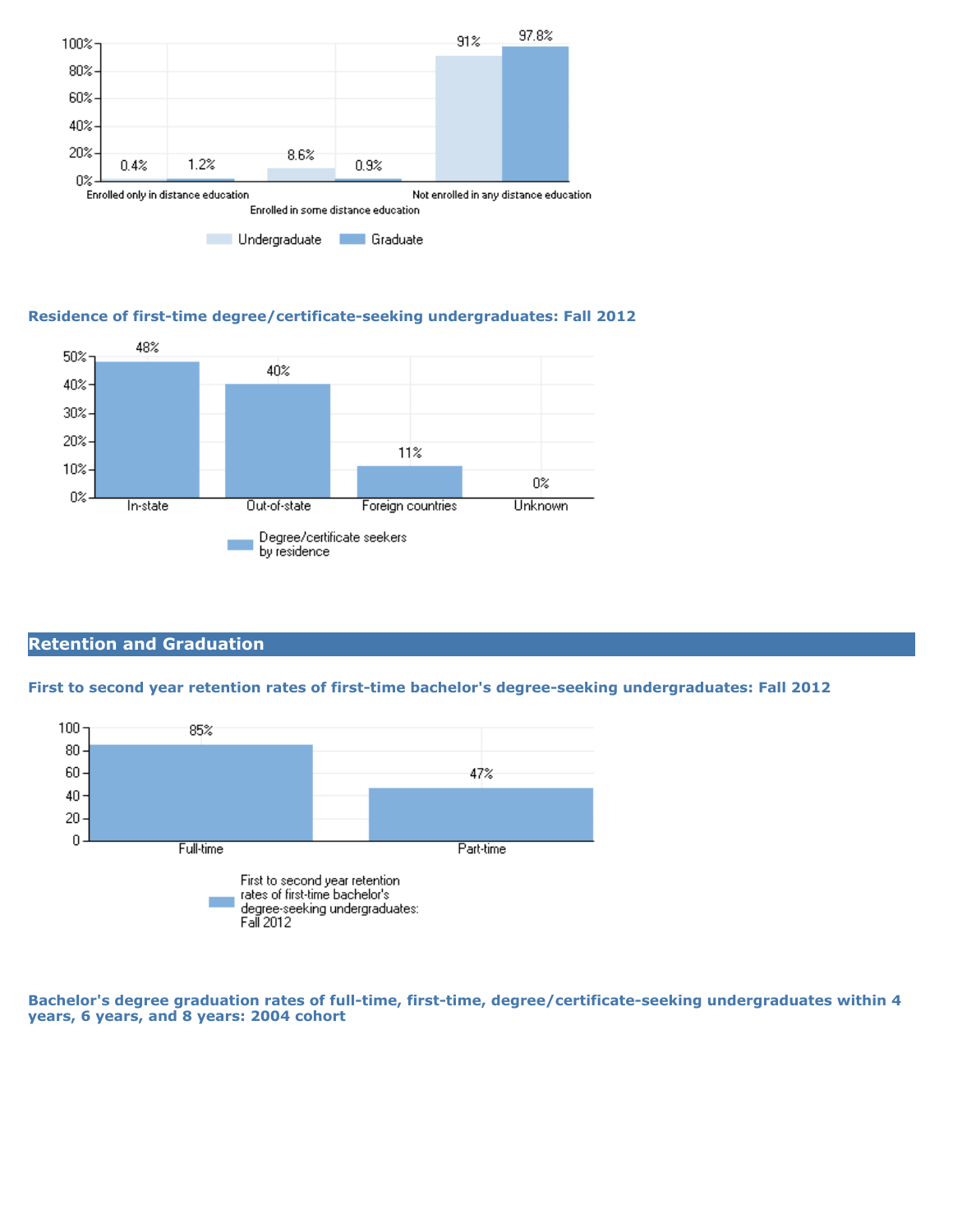

## **Residence of first-time degree/certificate-seeking undergraduates: Fall 2012**



# **Retention and Graduation**

#### **First to second year retention rates of first-time bachelor's degree-seeking undergraduates: Fall 2012**



**Bachelor's degree graduation rates of full-time, first-time, degree/certificate-seeking undergraduates within 4 years, 6 years, and 8 years: 2004 cohort**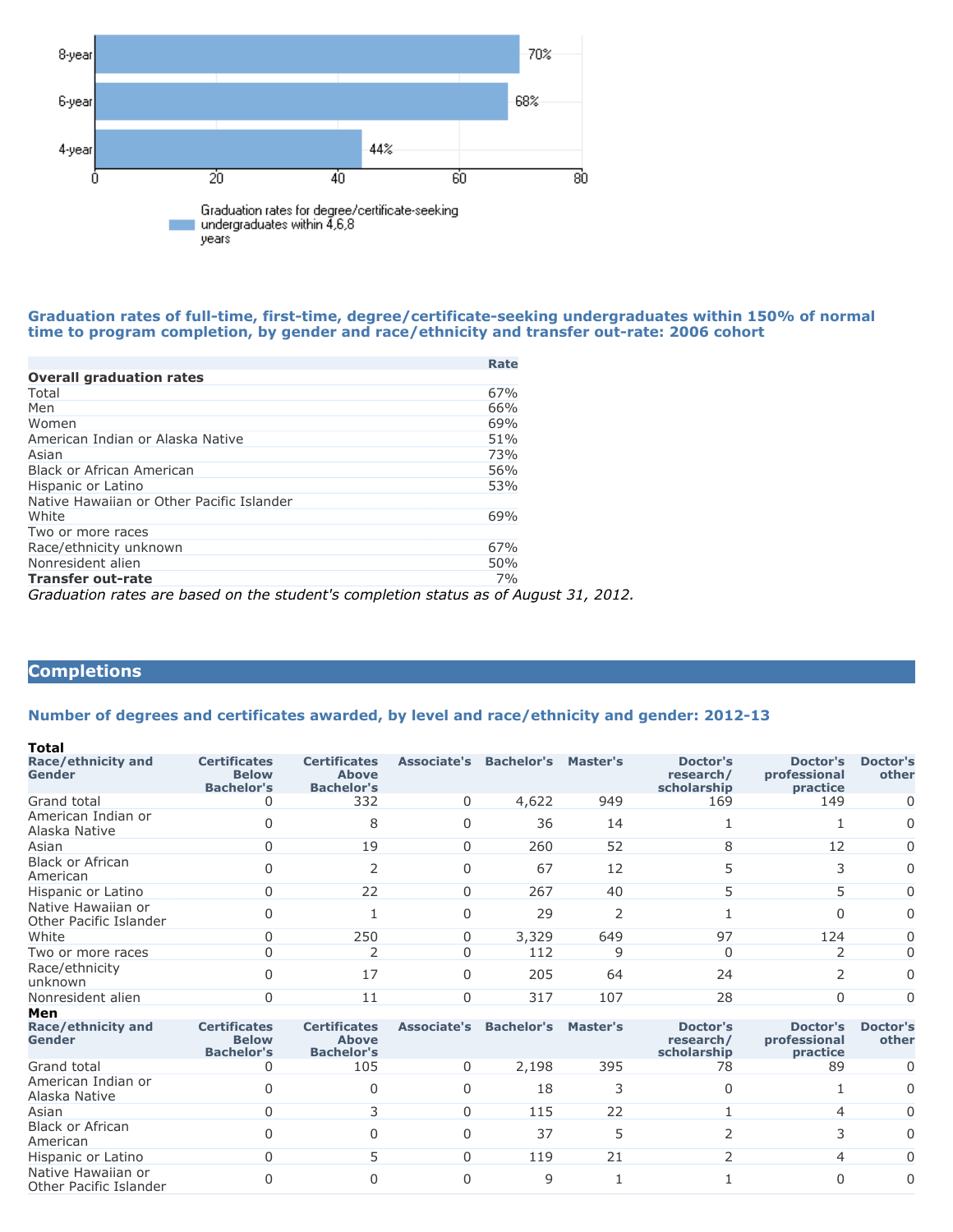

#### **Graduation rates of full-time, first-time, degree/certificate-seeking undergraduates within 150% of normal time to program completion, by gender and race/ethnicity and transfer out-rate: 2006 cohort**

|                                                                            | Rate |
|----------------------------------------------------------------------------|------|
| <b>Overall graduation rates</b>                                            |      |
| Total                                                                      | 67%  |
| Men                                                                        | 66%  |
| Women                                                                      | 69%  |
| American Indian or Alaska Native                                           | 51%  |
| Asian                                                                      | 73%  |
| Black or African American                                                  | 56%  |
| Hispanic or Latino                                                         | 53%  |
| Native Hawaiian or Other Pacific Islander                                  |      |
| White                                                                      | 69%  |
| Two or more races                                                          |      |
| Race/ethnicity unknown                                                     | 67%  |
| Nonresident alien                                                          | 50%  |
| <b>Transfer out-rate</b>                                                   | 7%   |
| Craduation rates are bosed on the studentle completion status as of August |      |

*Graduation rates are based on the student's completion status as of August 31, 2012.*

# **Completions**

#### **Number of degrees and certificates awarded, by level and race/ethnicity and gender: 2012-13**

| Total                                        |                                                          |                                                          |             |                   |                          |                                             |                                      |                          |
|----------------------------------------------|----------------------------------------------------------|----------------------------------------------------------|-------------|-------------------|--------------------------|---------------------------------------------|--------------------------------------|--------------------------|
| Race/ethnicity and<br>Gender                 | <b>Certificates</b><br><b>Below</b><br><b>Bachelor's</b> | <b>Certificates</b><br><b>Above</b><br><b>Bachelor's</b> | Associate's | <b>Bachelor's</b> | Master's                 | Doctor's<br>research/<br>scholarship        | Doctor's<br>professional<br>practice | <b>Doctor's</b><br>other |
| Grand total                                  |                                                          | 332                                                      | $\Omega$    | 4,622             | 949                      | 169                                         | 149                                  | 0                        |
| American Indian or<br>Alaska Native          |                                                          | 8                                                        | $\Omega$    | 36                | 14                       |                                             |                                      | 0                        |
| Asian                                        |                                                          | 19                                                       |             | 260               | 52                       |                                             | 12                                   | 0                        |
| <b>Black or African</b><br>American          |                                                          |                                                          | $\Omega$    | 67                | 12                       |                                             | 3                                    | 0                        |
| Hispanic or Latino                           | 0                                                        | 22                                                       | $\Omega$    | 267               | 40                       | 5.                                          | 5                                    | 0                        |
| Native Hawaiian or<br>Other Pacific Islander |                                                          |                                                          | $\Omega$    | 29                | $\overline{\phantom{a}}$ |                                             | $\Omega$                             | 0                        |
| White                                        |                                                          | 250                                                      | $\Omega$    | 3,329             | 649                      | 97                                          | 124                                  | 0                        |
| Two or more races                            |                                                          |                                                          |             | 112               | 9                        |                                             |                                      | 0                        |
| Race/ethnicity<br>unknown                    |                                                          | 17                                                       | $\Omega$    | 205               | 64                       | 24                                          | 2                                    | 0                        |
| Nonresident alien                            |                                                          | 11                                                       | $\Omega$    | 317               | 107                      | 28                                          | 0                                    | 0                        |
| Men                                          |                                                          |                                                          |             |                   |                          |                                             |                                      |                          |
| Race/ethnicity and<br>Gender                 | <b>Certificates</b><br><b>Below</b><br><b>Rachelor's</b> | <b>Certificates</b><br><b>Above</b><br><b>Racholor's</b> | Associate's | <b>Bachelor's</b> | Master's                 | Doctor's<br>research/<br><b>scholarchin</b> | Doctor's<br>professional<br>nractice | <b>Doctor's</b><br>other |

| Race/ethnicity and<br><b>Gender</b>          | Certificates<br><b>Below</b><br><b>Bachelor's</b> | <b>Certificates</b><br><b>Above</b><br><b>Bachelor's</b> | <b>Associate's</b> | Bachelor's | <b>Master's</b> | Doctor's<br>research/<br>scholarship | Doctor's<br>professional<br>practice | Doctor's<br>other |
|----------------------------------------------|---------------------------------------------------|----------------------------------------------------------|--------------------|------------|-----------------|--------------------------------------|--------------------------------------|-------------------|
| Grand total                                  | 0                                                 | 105                                                      |                    | 2,198      | 395             | 78                                   | 89                                   | 0                 |
| American Indian or<br>Alaska Native          |                                                   |                                                          |                    | 18         |                 |                                      |                                      | $\Omega$          |
| Asian                                        | 0                                                 |                                                          |                    | 115        | 22              |                                      | 4                                    | $\Omega$          |
| Black or African<br>American                 |                                                   |                                                          |                    | 37         |                 |                                      |                                      | $\Omega$          |
| Hispanic or Latino                           | 0                                                 |                                                          |                    | 119        | 21              |                                      | 4                                    | $\Omega$          |
| Native Hawaiian or<br>Other Pacific Islander |                                                   |                                                          |                    | q          |                 |                                      |                                      | $\Omega$          |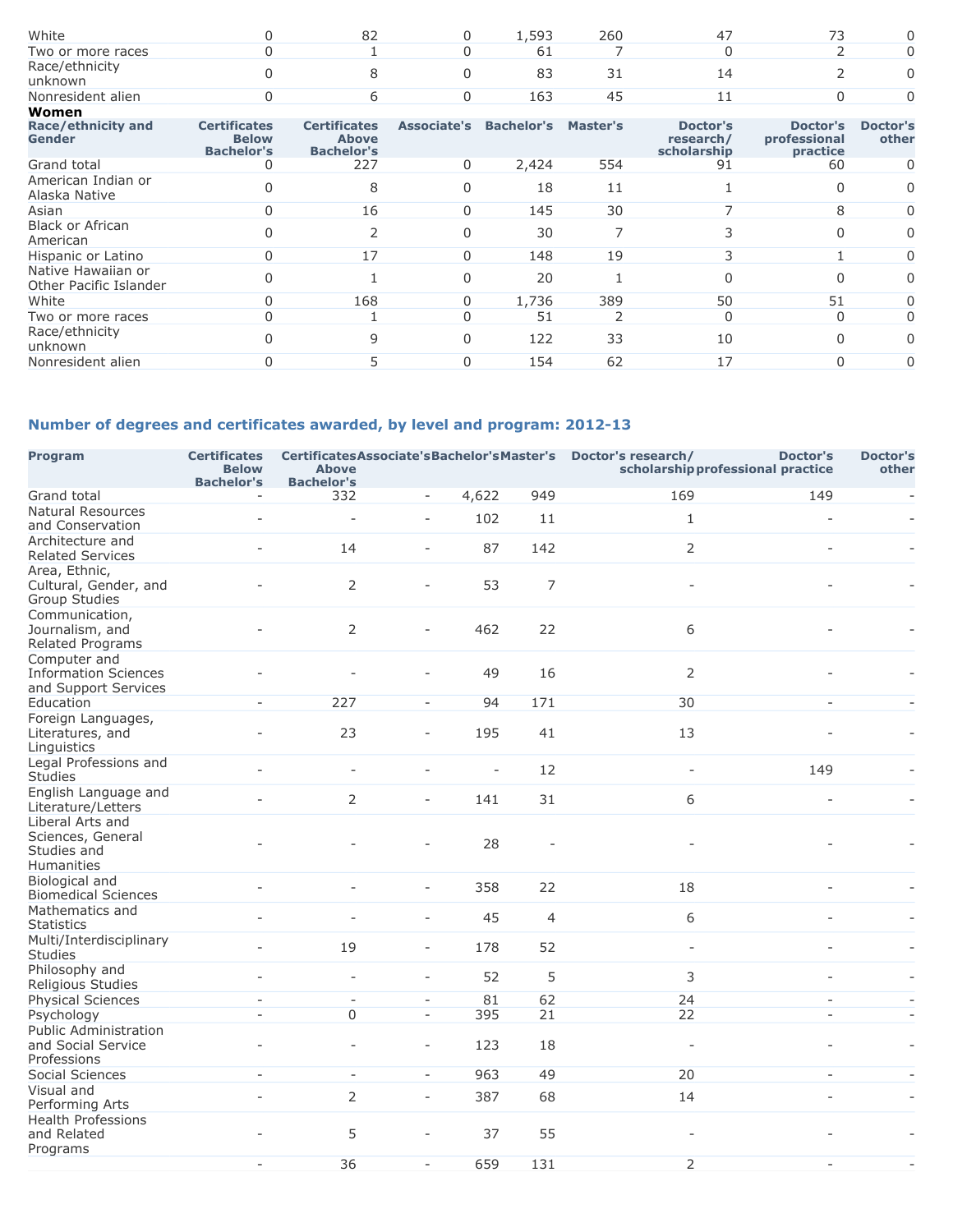| White                                        |                                                          | 82                                                       | $\Omega$ | 1,593                           | 260 | 47                                   | 73                                   |                          |
|----------------------------------------------|----------------------------------------------------------|----------------------------------------------------------|----------|---------------------------------|-----|--------------------------------------|--------------------------------------|--------------------------|
| Two or more races                            |                                                          |                                                          |          | 61                              |     |                                      |                                      | O                        |
| Race/ethnicity<br>unknown                    |                                                          | 8                                                        |          | 83                              | 31  | 14                                   |                                      | O                        |
| Nonresident alien                            |                                                          | 6                                                        |          | 163                             | 45  | 11                                   |                                      | 0                        |
| Women                                        |                                                          |                                                          |          |                                 |     |                                      |                                      |                          |
| Race/ethnicity and<br>Gender                 | <b>Certificates</b><br><b>Below</b><br><b>Bachelor's</b> | <b>Certificates</b><br><b>Above</b><br><b>Bachelor's</b> |          | Associate's Bachelor's Master's |     | Doctor's<br>research/<br>scholarship | Doctor's<br>professional<br>practice | <b>Doctor's</b><br>other |
| Grand total                                  |                                                          | 227                                                      | $\Omega$ | 2,424                           | 554 | 91                                   | 60                                   | 0                        |
| American Indian or<br>Alaska Native          |                                                          | 8                                                        |          | 18                              | 11  |                                      | 0                                    | 0                        |
| Asian                                        |                                                          | 16                                                       | 0        | 145                             | 30  |                                      | 8                                    | 0                        |
| <b>Black or African</b><br>American          |                                                          | C                                                        |          | 30                              | 7   |                                      | <sup>0</sup>                         | 0                        |
| Hispanic or Latino                           |                                                          | 17                                                       | 0        | 148                             | 19  |                                      |                                      | 0                        |
| Native Hawaiian or<br>Other Pacific Islander |                                                          |                                                          |          | 20                              |     |                                      | <sup>0</sup>                         | O                        |
| White                                        |                                                          | 168                                                      |          | 1,736                           | 389 | 50                                   | 51                                   | 0                        |
| Two or more races                            |                                                          |                                                          |          | 51                              |     |                                      | $\Omega$                             | 0                        |
| Race/ethnicity<br>unknown                    |                                                          | 9                                                        |          | 122                             | 33  | 10                                   | $\Omega$                             | 0                        |
| Nonresident alien                            |                                                          |                                                          |          | 154                             | 62  | 17                                   | 0                                    | 0                        |
|                                              |                                                          |                                                          |          |                                 |     |                                      |                                      |                          |

# **Number of degrees and certificates awarded, by level and program: 2012-13**

| <b>Program</b>                                                      | <b>Certificates</b><br><b>Below</b><br><b>Bachelor's</b> | <b>Above</b><br><b>Bachelor's</b> | CertificatesAssociate'sBachelor'sMaster's Doctor's research/ |                          | <b>Doctor's</b><br>scholarship professional practice |                          | <b>Doctor's</b><br>other |                          |
|---------------------------------------------------------------------|----------------------------------------------------------|-----------------------------------|--------------------------------------------------------------|--------------------------|------------------------------------------------------|--------------------------|--------------------------|--------------------------|
| Grand total                                                         | $\overline{\phantom{a}}$                                 | 332                               | $\blacksquare$                                               | 4,622                    | 949                                                  | 169                      | 149                      | $\overline{\phantom{a}}$ |
| <b>Natural Resources</b><br>and Conservation                        | $\overline{a}$                                           |                                   | ÷.                                                           | 102                      | 11                                                   | $\mathbf{1}$             |                          |                          |
| Architecture and<br><b>Related Services</b>                         | $\overline{a}$                                           | 14                                | $\overline{\phantom{a}}$                                     | 87                       | 142                                                  | $\overline{2}$           |                          |                          |
| Area, Ethnic,<br>Cultural, Gender, and<br>Group Studies             |                                                          | $\overline{2}$                    | ÷                                                            | 53                       | $\overline{7}$                                       | L.                       |                          |                          |
| Communication,<br>Journalism, and<br>Related Programs               |                                                          | 2                                 | ÷                                                            | 462                      | 22                                                   | 6                        |                          |                          |
| Computer and<br><b>Information Sciences</b><br>and Support Services |                                                          |                                   |                                                              | 49                       | 16                                                   | $\overline{2}$           |                          |                          |
| Education                                                           | $\sim$                                                   | 227                               | $\sim$                                                       | 94                       | 171                                                  | 30                       | $\sim$                   |                          |
| Foreign Languages,<br>Literatures, and<br>Linguistics               |                                                          | 23                                | $\bar{a}$                                                    | 195                      | 41                                                   | 13                       |                          |                          |
| Legal Professions and<br><b>Studies</b>                             |                                                          | $\overline{\phantom{a}}$          | ÷,                                                           | $\overline{\phantom{a}}$ | 12                                                   | $\overline{\phantom{a}}$ | 149                      |                          |
| English Language and<br>Literature/Letters                          |                                                          | $\overline{2}$                    | $\overline{\phantom{a}}$                                     | 141                      | 31                                                   | 6                        | $\overline{\phantom{a}}$ |                          |
| Liberal Arts and<br>Sciences, General<br>Studies and<br>Humanities  |                                                          |                                   |                                                              | 28                       |                                                      |                          |                          |                          |
| Biological and<br><b>Biomedical Sciences</b>                        |                                                          |                                   | ÷.                                                           | 358                      | 22                                                   | 18                       |                          |                          |
| Mathematics and<br><b>Statistics</b>                                |                                                          |                                   | $\bar{a}$                                                    | 45                       | $\overline{4}$                                       | 6                        |                          |                          |
| Multi/Interdisciplinary<br><b>Studies</b>                           |                                                          | 19                                | $\overline{\phantom{a}}$                                     | 178                      | 52                                                   | $\overline{\phantom{a}}$ |                          |                          |
| Philosophy and<br>Religious Studies                                 |                                                          | $\overline{a}$                    | $\overline{\phantom{a}}$                                     | 52                       | 5                                                    | 3                        |                          |                          |
| <b>Physical Sciences</b>                                            | ÷.                                                       | $\sim$                            | $\equiv$                                                     | 81                       | 62                                                   | 24                       | $\overline{a}$           |                          |
| Psychology                                                          | $\sim$                                                   | $\Omega$                          | $\omega$                                                     | 395                      | 21                                                   | 22                       | $\overline{a}$           | $\sim$                   |
| Public Administration<br>and Social Service<br>Professions          |                                                          |                                   | $\overline{\phantom{a}}$                                     | 123                      | 18                                                   | $\overline{\phantom{a}}$ |                          |                          |
| Social Sciences                                                     | $\sim$                                                   | $\overline{\phantom{a}}$          | $\sim$                                                       | 963                      | 49                                                   | 20                       | $\omega$                 |                          |
| Visual and<br>Performing Arts                                       |                                                          | 2                                 | $\overline{\phantom{a}}$                                     | 387                      | 68                                                   | 14                       |                          |                          |
| <b>Health Professions</b><br>and Related<br>Programs                |                                                          | 5                                 |                                                              | 37                       | 55                                                   |                          |                          |                          |
|                                                                     | $\sim$                                                   | 36                                | $\sim$                                                       | 659                      | 131                                                  | $\overline{2}$           | $\sim$                   | ÷,                       |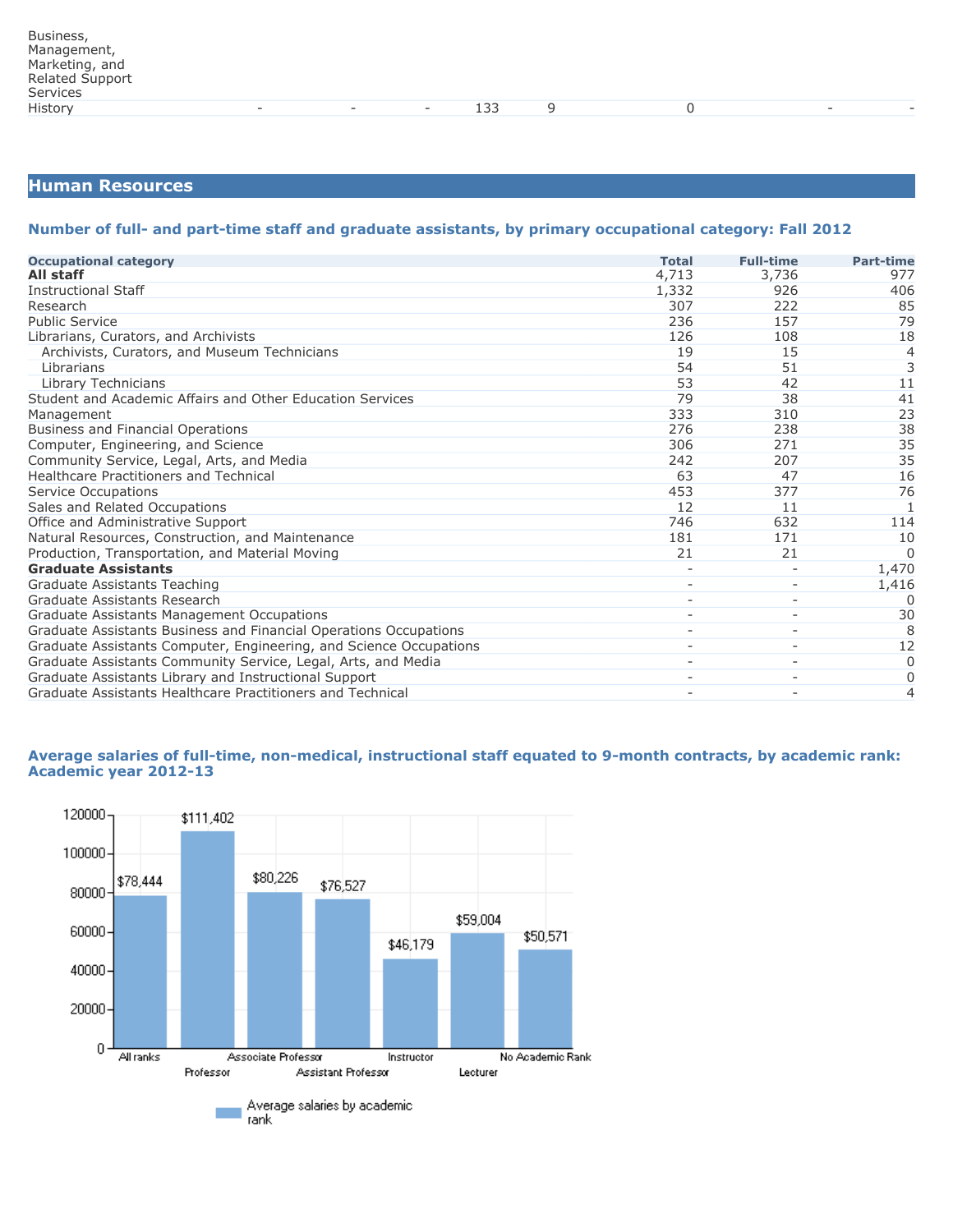## **Human Resources**

#### **Number of full- and part-time staff and graduate assistants, by primary occupational category: Fall 2012**

| <b>Occupational category</b>                                       | <b>Total</b> | <b>Full-time</b>         | <b>Part-time</b> |
|--------------------------------------------------------------------|--------------|--------------------------|------------------|
| All staff                                                          | 4,713        | 3,736                    | 977              |
| <b>Instructional Staff</b>                                         | 1,332        | 926                      | 406              |
| Research                                                           | 307          | 222                      | 85               |
| <b>Public Service</b>                                              | 236          | 157                      | 79               |
| Librarians, Curators, and Archivists                               | 126          | 108                      | 18               |
| Archivists, Curators, and Museum Technicians                       | 19           | 15                       | $\overline{4}$   |
| Librarians                                                         | 54           | 51                       | $\overline{3}$   |
| Library Technicians                                                | 53           | 42                       | 11               |
| Student and Academic Affairs and Other Education Services          | 79           | 38                       | 41               |
| Management                                                         | 333          | 310                      | 23               |
| <b>Business and Financial Operations</b>                           | 276          | 238                      | 38               |
| Computer, Engineering, and Science                                 | 306          | 271                      | 35               |
| Community Service, Legal, Arts, and Media                          | 242          | 207                      | 35               |
| <b>Healthcare Practitioners and Technical</b>                      | 63           | 47                       | 16               |
| Service Occupations                                                | 453          | 377                      | 76               |
| Sales and Related Occupations                                      | 12           | 11                       | 1                |
| Office and Administrative Support                                  | 746          | 632                      | 114              |
| Natural Resources, Construction, and Maintenance                   | 181          | 171                      | 10               |
| Production, Transportation, and Material Moving                    | 21           | 21                       | $\Omega$         |
| <b>Graduate Assistants</b>                                         |              |                          | 1,470            |
| Graduate Assistants Teaching                                       |              |                          | 1,416            |
| Graduate Assistants Research                                       |              |                          | O                |
| Graduate Assistants Management Occupations                         |              | $\overline{\phantom{a}}$ | 30               |
| Graduate Assistants Business and Financial Operations Occupations  |              |                          | 8                |
| Graduate Assistants Computer, Engineering, and Science Occupations |              |                          | 12               |
| Graduate Assistants Community Service, Legal, Arts, and Media      |              | $\overline{\phantom{a}}$ | $\Omega$         |
| Graduate Assistants Library and Instructional Support              |              | $\overline{\phantom{a}}$ | 0                |
| Graduate Assistants Healthcare Practitioners and Technical         |              |                          | 4                |

#### **Average salaries of full-time, non-medical, instructional staff equated to 9-month contracts, by academic rank: Academic year 2012-13**

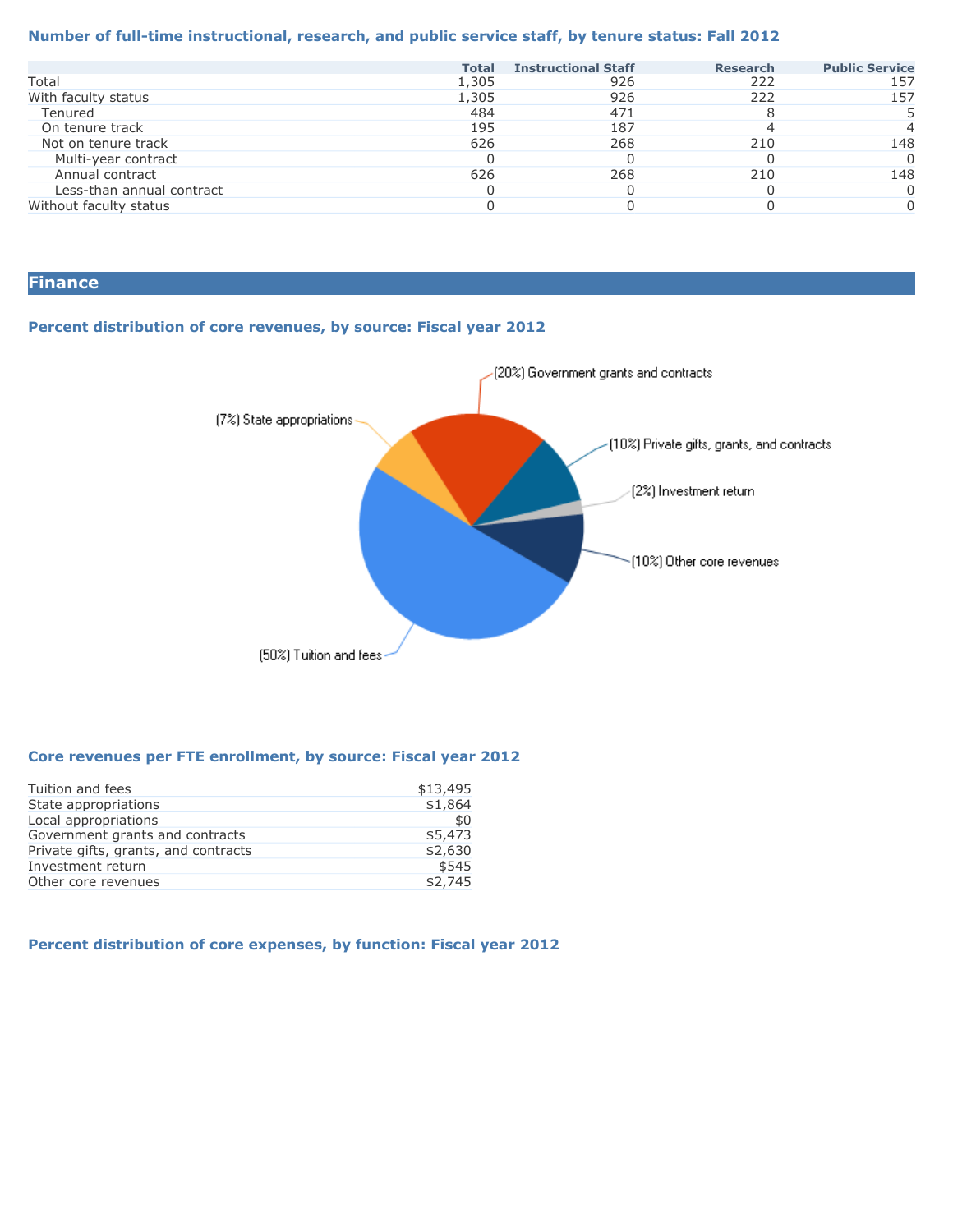#### **Number of full-time instructional, research, and public service staff, by tenure status: Fall 2012**

|                           | <b>Total</b> | <b>Instructional Staff</b> | <b>Research</b> | <b>Public Service</b> |
|---------------------------|--------------|----------------------------|-----------------|-----------------------|
| Total                     | 1,305        | 926                        | 222             | 157                   |
| With faculty status       | 1,305        | 926                        | 222             | 157                   |
| Tenured                   | 484          | 471                        |                 |                       |
| On tenure track           | 195          | 187                        |                 |                       |
| Not on tenure track       | 626          | 268                        | 210             | 148                   |
| Multi-year contract       |              |                            |                 |                       |
| Annual contract           | 626          | 268                        | 210             | 148                   |
| Less-than annual contract |              |                            |                 |                       |
| Without faculty status    |              |                            |                 |                       |
|                           |              |                            |                 |                       |

# **Finance**

#### **Percent distribution of core revenues, by source: Fiscal year 2012**



#### **Core revenues per FTE enrollment, by source: Fiscal year 2012**

| Tuition and fees                     | \$13,495 |
|--------------------------------------|----------|
| State appropriations                 | \$1,864  |
| Local appropriations                 | \$0      |
| Government grants and contracts      | \$5,473  |
| Private gifts, grants, and contracts | \$2,630  |
| Investment return                    | \$545    |
| Other core revenues                  | \$2.745  |

## **Percent distribution of core expenses, by function: Fiscal year 2012**